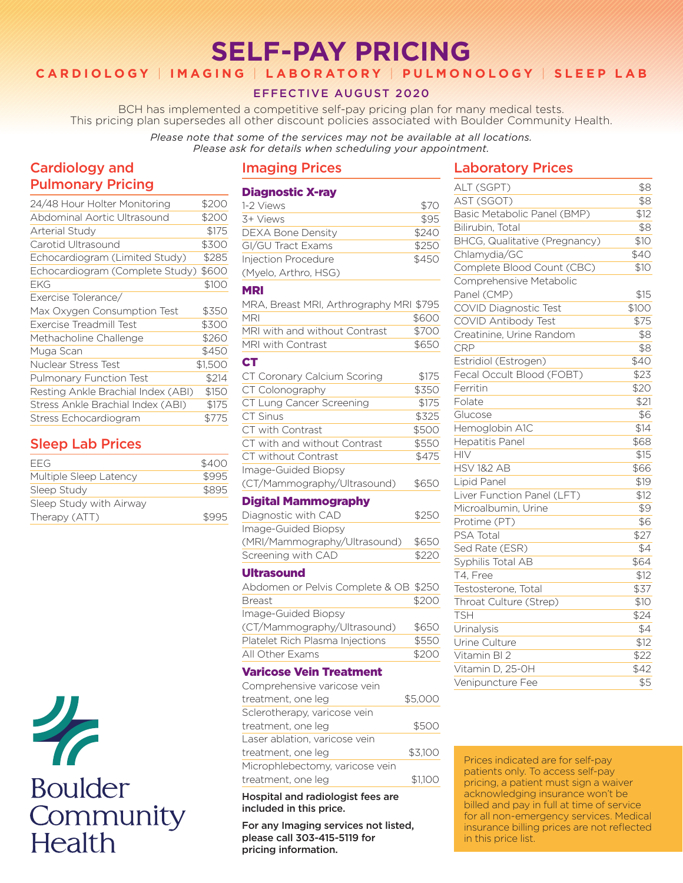# **SELF-PAY PRICING**

# **CARDIOLOGY** | **IMAGING** | **LABORATORY** | **PULMONOLOGY** | **SLEEP LAB**

## EFFECTIVE AUGUST 2020

BCH has implemented a competitive self-pay pricing plan for many medical tests. This pricing plan supersedes all other discount policies associated with Boulder Community Health.

#### *Please note that some of the services may not be available at all locations. Please ask for details when scheduling your appointment.*

# Cardiology and Pulmonary Pricing

| 24/48 Hour Holter Monitoring       | \$200   |
|------------------------------------|---------|
| Abdominal Aortic Ultrasound        | \$200   |
| <b>Arterial Study</b>              | \$175   |
| Carotid Ultrasound                 | \$300   |
| Echocardiogram (Limited Study)     | \$285   |
| Echocardiogram (Complete Study)    | \$600   |
| EKG                                | \$100   |
| Exercise Tolerance/                |         |
| Max Oxygen Consumption Test        | \$350   |
| Exercise Treadmill Test            | \$300   |
| Methacholine Challenge             | \$260   |
| Muga Scan                          | \$450   |
| Nuclear Stress Test                | \$1,500 |
| <b>Pulmonary Function Test</b>     | \$214   |
| Resting Ankle Brachial Index (ABI) | \$150   |
| Stress Ankle Brachial Index (ABI)  | \$175   |
| Stress Echocardiogram              | \$775   |

# Sleep Lab Prices

| FFG                     | \$400 |
|-------------------------|-------|
| Multiple Sleep Latency  | \$995 |
| Sleep Study             | \$895 |
| Sleep Study with Airway |       |
| Therapy (ATT)           | \$995 |



## Imaging Prices

### Diagnostic X-ray

| 1-2 Views                | \$70  |
|--------------------------|-------|
| 3+ Views                 | \$95  |
| <b>DEXA Bone Density</b> | \$240 |
| GI/GU Tract Exams        | \$250 |
| Injection Procedure      | \$450 |
| (Myelo, Arthro, HSG)     |       |

#### MRI

| MRA, Breast MRI, Arthrography MRI \$795 |               |
|-----------------------------------------|---------------|
| <b>MRI</b>                              | \$600         |
| MRI with and without Contrast           | \$700         |
| MRI with Contrast                       | \$650         |
| <b>CT</b>                               |               |
| CT Coronary Calcium Scoring             | \$175         |
| CT Colonography                         | \$350         |
| CT Lung Cancer Screening                | \$175         |
| $CT$ Cinus                              | <b>¢ Z つに</b> |

| \ . I . JII I\ J. ?          | ৺ລຕ   |
|------------------------------|-------|
| CT with Contrast             | \$500 |
| CT with and without Contrast | \$550 |
| CT without Contrast          | \$475 |
| Image-Guided Biopsy          |       |
| (CT/Mammography/Ultrasound)  | \$650 |

#### Digital Mammography

| \$250 |
|-------|
|       |
| \$650 |
| \$220 |
|       |

#### Ultrasound

| Abdomen or Pelvis Complete & OB \$250 |       |
|---------------------------------------|-------|
| <b>Breast</b>                         | \$200 |
| Image-Guided Biopsy                   |       |
| (CT/Mammography/Ultrasound)           | \$650 |
| Platelet Rich Plasma Injections       | \$550 |
| All Other Exams                       | \$200 |
|                                       |       |

#### Varicose Vein Treatment

| Comprehensive varicose vein     |         |
|---------------------------------|---------|
| treatment, one leg              | \$5,000 |
| Sclerotherapy, varicose vein    |         |
| treatment, one leg              | \$500   |
| Laser ablation, varicose vein   |         |
| treatment, one leg              | \$3,100 |
| Microphlebectomy, varicose vein |         |
| treatment, one leg              | \$1.100 |
|                                 |         |

#### Hospital and radiologist fees are included in this price.

For any Imaging services not listed, please call 303-415-5119 for pricing information.

### Laboratory Prices

| ALT (SGPT)                    | \$8   |
|-------------------------------|-------|
| AST (SGOT)                    | \$8   |
| Basic Metabolic Panel (BMP)   | \$12  |
| Bilirubin, Total              | \$8   |
| BHCG, Qualitative (Pregnancy) | \$10  |
| Chlamydia/GC                  | \$40  |
| Complete Blood Count (CBC)    | \$10  |
| Comprehensive Metabolic       |       |
| Panel (CMP)                   | \$15  |
| <b>COVID Diagnostic Test</b>  | \$100 |
| COVID Antibody Test           | \$75  |
| Creatinine, Urine Random      | \$8   |
| <b>CRP</b>                    | \$8   |
| Estridiol (Estrogen)          | \$40  |
| Fecal Occult Blood (FOBT)     | \$23  |
| Ferritin                      | \$20  |
| Folate                        | \$21  |
| Glucose                       | \$6   |
| Hemoglobin A1C                | \$14  |
| <b>Hepatitis Panel</b>        | \$68  |
| <b>HIV</b>                    | \$15  |
| <b>HSV 1&amp;2 AB</b>         | \$66  |
| Lipid Panel                   | \$19  |
| Liver Function Panel (LFT)    | \$12  |
| Microalbumin, Urine           | \$9   |
| Protime (PT)                  | \$6   |
| PSA Total                     | \$27  |
| Sed Rate (ESR)                | \$4   |
| Syphilis Total AB             | \$64  |
| T4, Free                      | \$12  |
| Testosterone, Total           | \$37  |
| Throat Culture (Strep)        | \$10  |
| <b>TSH</b>                    | \$24  |
| Urinalysis                    | \$4   |
| Urine Culture                 | \$12  |
| Vitamin BI 2                  | \$22  |
| Vitamin D, 25-0H              | \$42  |
| Venipuncture Fee              | \$5   |
|                               |       |

Prices indicated are for self-pay patients only. To access self-pay pricing, a patient must sign a waiver acknowledging insurance won't be billed and pay in full at time of service for all non-emergency services. Medical insurance billing prices are not reflected in this price list.